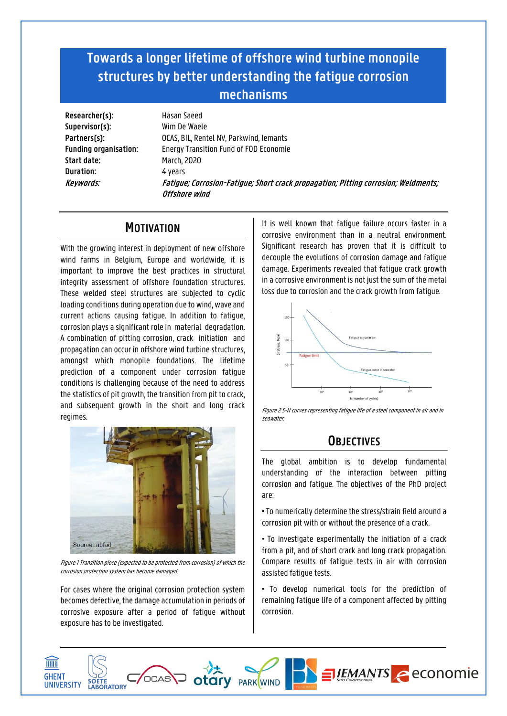# **Towards a longer lifetime of offshore wind turbine monopile structures by better understanding the fatigue corrosion mechanisms**

**Researcher(s):** Hasan Saeed **Supervisor(s):** Wim De Waele **Start date:** March, 2020 **Duration:** 4 years

**Partners(s):** OCAS, BIL, Rentel NV, Parkwind, Iemants **Funding organisation:** Energy Transition Fund of FOD Economie **Keywords: Fatigue; Corrosion-Fatigue;Short crack propagation; Pitting corrosion; Weldments; Offshore wind** 

## **MOTIVATION**

With the growing interest in deployment of new offshore wind farms in Belgium, Europe and worldwide, it is important to improve the best practices in structural integrity assessment of offshore foundation structures. These welded steel structures are subjected to cyclic loading conditions during operation due to wind, wave and current actions causing fatigue. In addition to fatigue, corrosion plays a significant role in material degradation. A combination of pitting corrosion, crack initiation and propagation can occur in offshore wind turbine structures, amongst which monopile foundations. The lifetime prediction of a component under corrosion fatigue conditions is challenging because of the need to address the statistics of pit growth, the transition from pit to crack, and subsequent growth in the short and long crack regimes.



Figure 1Transition piece (expected to be protected from corrosion) of which the corrosion protection system has become damaged.

For cases where the original corrosion protection system becomes defective, the damage accumulation in periods of corrosive exposure after a period of fatigue without exposure has to be investigated.

It is well known that fatigue failure occurs faster in a corrosive environment than in a neutral environment. Significant research has proven that it is difficult to decouple the evolutions of corrosion damage and fatigue damage. Experiments revealed that fatigue crack growth in a corrosive environment is not just the sum of the metal loss due to corrosion and the crack growth from fatigue.



Figure 2 S-N curves representing fatigue life of a steel component in air and in seawater.

# **OBJECTIVES**

The global ambition is to develop fundamental understanding of the interaction between pitting corrosion and fatigue. The objectives of the PhD project are:

• To numerically determine the stress/strain field around a corrosion pit with or without the presence of a crack.

• To investigate experimentally the initiation of a crack from a pit, and of short crack and long crack propagation. Compare results of fatigue tests in air with corrosion assisted fatigue tests.

• To develop numerical tools for the prediction of remaining fatigue life of a component affected by pitting corrosion.